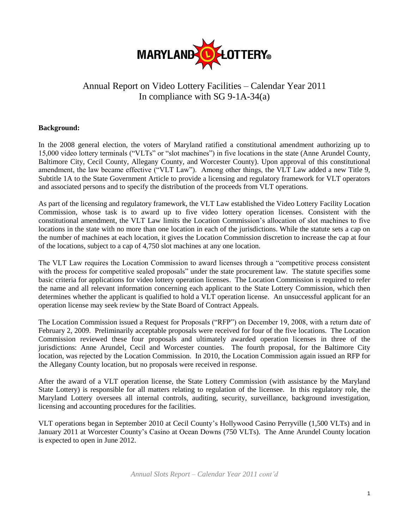

# Annual Report on Video Lottery Facilities – Calendar Year 2011 In compliance with SG 9-1A-34(a)

#### **Background:**

In the 2008 general election, the voters of Maryland ratified a constitutional amendment authorizing up to 15,000 video lottery terminals ("VLTs" or "slot machines") in five locations in the state (Anne Arundel County, Baltimore City, Cecil County, Allegany County, and Worcester County). Upon approval of this constitutional amendment, the law became effective ("VLT Law"). Among other things, the VLT Law added a new Title 9, Subtitle 1A to the State Government Article to provide a licensing and regulatory framework for VLT operators and associated persons and to specify the distribution of the proceeds from VLT operations.

As part of the licensing and regulatory framework, the VLT Law established the Video Lottery Facility Location Commission, whose task is to award up to five video lottery operation licenses. Consistent with the constitutional amendment, the VLT Law limits the Location Commission's allocation of slot machines to five locations in the state with no more than one location in each of the jurisdictions. While the statute sets a cap on the number of machines at each location, it gives the Location Commission discretion to increase the cap at four of the locations, subject to a cap of 4,750 slot machines at any one location.

The VLT Law requires the Location Commission to award licenses through a "competitive process consistent with the process for competitive sealed proposals" under the state procurement law. The statute specifies some basic criteria for applications for video lottery operation licenses. The Location Commission is required to refer the name and all relevant information concerning each applicant to the State Lottery Commission, which then determines whether the applicant is qualified to hold a VLT operation license. An unsuccessful applicant for an operation license may seek review by the State Board of Contract Appeals.

The Location Commission issued a Request for Proposals ("RFP") on December 19, 2008, with a return date of February 2, 2009. Preliminarily acceptable proposals were received for four of the five locations. The Location Commission reviewed these four proposals and ultimately awarded operation licenses in three of the jurisdictions: Anne Arundel, Cecil and Worcester counties. The fourth proposal, for the Baltimore City location, was rejected by the Location Commission. In 2010, the Location Commission again issued an RFP for the Allegany County location, but no proposals were received in response.

After the award of a VLT operation license, the State Lottery Commission (with assistance by the Maryland State Lottery) is responsible for all matters relating to regulation of the licensee. In this regulatory role, the Maryland Lottery oversees all internal controls, auditing, security, surveillance, background investigation, licensing and accounting procedures for the facilities.

VLT operations began in September 2010 at Cecil County's Hollywood Casino Perryville (1,500 VLTs) and in January 2011 at Worcester County's Casino at Ocean Downs (750 VLTs). The Anne Arundel County location is expected to open in June 2012.

*Annual Slots Report – Calendar Year 2011 cont'd*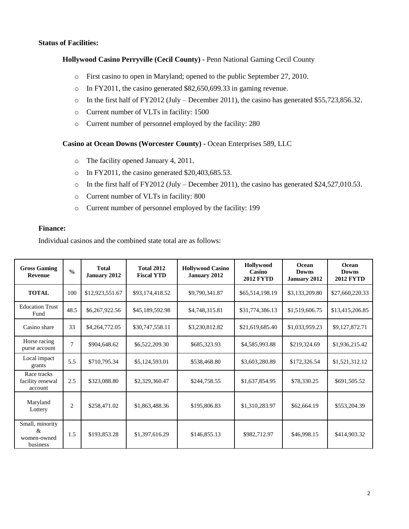#### **Status of Facilities:**

#### **Hollywood Casino Perryville (Cecil County) -** Penn National Gaming Cecil County

- o First casino to open in Maryland; opened to the public September 27, 2010.
- o In FY2011, the casino generated \$82,650,699.33 in gaming revenue.
- o In the first half of FY2012 (July December 2011), the casino has generated \$55,723,856.32.
- o Current number of VLTs in facility: 1500
- o Current number of personnel employed by the facility: 280

#### **Casino at Ocean Downs (Worcester County) -** Ocean Enterprises 589, LLC

- o The facility opened January 4, 2011.
- $\circ$  In FY2011, the casino generated \$20,403,685.53.
- o In the first half of FY2012 (July December 2011), the casino has generated \$24,527,010.53.
- o Current number of VLTs in facility: 800
- o Current number of personnel employed by the facility: 199

#### **Finance:**

Individual casinos and the combined state total are as follows:

| <b>Gross Gaming</b><br>Revenue                  | $\frac{0}{0}$  | <b>Total</b><br>January 2012 | <b>Total 2012</b><br><b>Fiscal YTD</b> | <b>Hollywood Casino</b><br><b>January 2012</b> | Hollywood<br>Casino<br><b>2012 FYTD</b> | Ocean<br><b>Downs</b><br><b>January 2012</b> | Ocean<br><b>Downs</b><br><b>2012 FYTD</b> |
|-------------------------------------------------|----------------|------------------------------|----------------------------------------|------------------------------------------------|-----------------------------------------|----------------------------------------------|-------------------------------------------|
| <b>TOTAL</b>                                    | 100            | \$12,923,551.67              | \$93,174,418.52                        | \$9,790,341.87                                 | \$65,514,198.19                         | \$3,133,209.80                               | \$27,660,220.33                           |
| <b>Education Trust</b><br>Fund                  | 48.5           | \$6,267,922.56               | \$45,189,592.98                        | \$4,748,315.81                                 | \$31,774,386.13                         | \$1,519,606.75                               | \$13,415,206.85                           |
| Casino share                                    | 33             | \$4,264,772.05               | \$30,747,558.11                        | \$3,230,812.82                                 | \$21,619,685.40                         | \$1,033,959.23                               | \$9,127,872.71                            |
| Horse racing<br>purse account                   | 7              | \$904,648.62                 | \$6,522,209.30                         | \$685,323.93                                   | \$4,585,993.88                          | \$219,324.69                                 | \$1,936,215.42                            |
| Local impact<br>grants                          | 5.5            | \$710,795.34                 | \$5,124,593.01                         | \$538,468.80                                   | \$3,603,280.89                          | \$172,326.54                                 | \$1,521,312.12                            |
| Race tracks<br>facility renewal<br>account      | 2.5            | \$323,088.80                 | \$2,329,360.47                         | \$244,758.55                                   | \$1,637,854.95                          | \$78,330.25                                  | \$691,505.52                              |
| Maryland<br>Lottery                             | $\overline{c}$ | \$258,471.02                 | \$1,863,488.36                         | \$195,806.83                                   | \$1,310,283.97                          | \$62,664.19                                  | \$553,204.39                              |
| Small, minority<br>&<br>women-owned<br>business | 1.5            | \$193,853.28                 | \$1,397,616.29                         | \$146,855.13                                   | \$982,712.97                            | \$46,998.15                                  | \$414,903.32                              |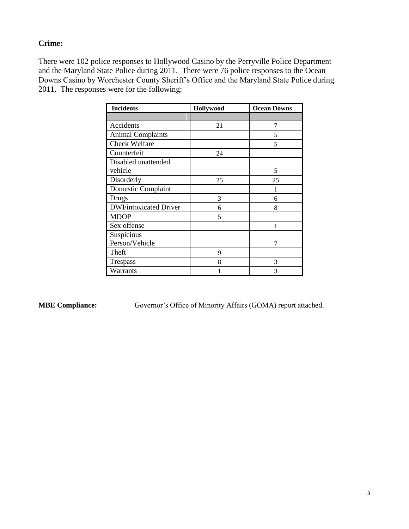## **Crime:**

There were 102 police responses to Hollywood Casino by the Perryville Police Department and the Maryland State Police during 2011. There were 76 police responses to the Ocean Downs Casino by Worchester County Sheriff's Office and the Maryland State Police during 2011. The responses were for the following:

| <b>Incidents</b>               | Hollywood | <b>Ocean Downs</b> |
|--------------------------------|-----------|--------------------|
|                                |           |                    |
| Accidents                      | 21        | 7                  |
| <b>Animal Complaints</b>       |           | 5                  |
| <b>Check Welfare</b>           |           | 5                  |
| Counterfeit                    | 24        |                    |
| Disabled unattended<br>vehicle |           | 5                  |
| Disorderly                     | 25        | 25                 |
| Domestic Complaint             |           |                    |
| Drugs                          | 3         | 6                  |
| <b>DWI/intoxicated Driver</b>  | 6         | 8                  |
| <b>MDOP</b>                    | 5         |                    |
| Sex offense                    |           | 1                  |
| Suspicious<br>Person/Vehicle   |           | 7                  |
| Theft                          | 9         |                    |
| Trespass                       | 8         | 3                  |
| Warrants                       |           | 3                  |

**MBE Compliance:** Governor's Office of Minority Affairs (GOMA) report attached.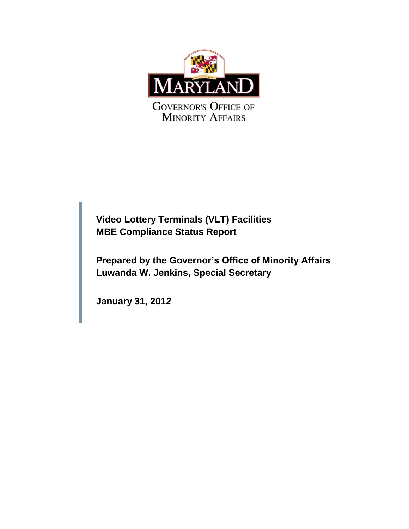

**Video Lottery Terminals (VLT) Facilities MBE Compliance Status Report**

**Prepared by the Governor's Office of Minority Affairs Luwanda W. Jenkins, Special Secretary**

**January 31, 201***2*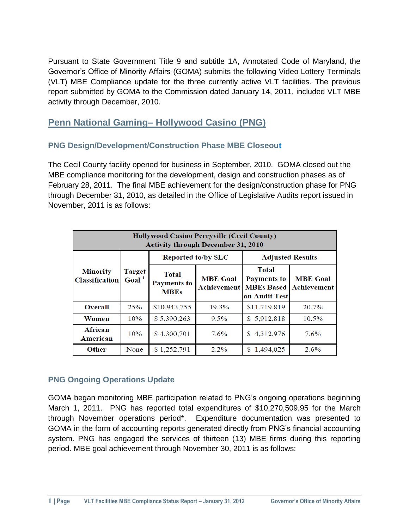Pursuant to State Government Title 9 and subtitle 1A, Annotated Code of Maryland, the Governor's Office of Minority Affairs (GOMA) submits the following Video Lottery Terminals (VLT) MBE Compliance update for the three currently active VLT facilities. The previous report submitted by GOMA to the Commission dated January 14, 2011, included VLT MBE activity through December, 2010.

# **Penn National Gaming– Hollywood Casino (PNG)**

## **PNG Design/Development/Construction Phase MBE Closeout**

The Cecil County facility opened for business in September, 2010. GOMA closed out the MBE compliance monitoring for the development, design and construction phases as of February 28, 2011. The final MBE achievement for the design/construction phase for PNG through December 31, 2010, as detailed in the Office of Legislative Audits report issued in November, 2011 is as follows:

| <b>Hollywood Casino Perryville (Cecil County)</b><br><b>Activity through December 31, 2010</b> |      |                                            |                 |                                                                                          |                                       |  |
|------------------------------------------------------------------------------------------------|------|--------------------------------------------|-----------------|------------------------------------------------------------------------------------------|---------------------------------------|--|
|                                                                                                |      | <b>Reported to/by SLC</b>                  |                 | <b>Adjusted Results</b>                                                                  |                                       |  |
| Target<br><b>Minority</b><br>Goal <sup>1</sup><br><b>Classification</b>                        |      | Total<br><b>Payments to</b><br><b>MBEs</b> | <b>MBE</b> Goal | <b>Total</b><br><b>Payments to</b><br><b>Achievement   MBEs Based</b><br>∣on Audit Test∣ | <b>MBE</b> Goal<br><b>Achievement</b> |  |
| <b>Overall</b>                                                                                 | 25%  | \$10,943,755                               | 19.3%           | \$11,719,819                                                                             | 20.7%                                 |  |
| Women                                                                                          | 10%  | \$5,390,263                                | $9.5\%$         | \$5,912,818                                                                              | 10.5%                                 |  |
| <b>African</b><br>American                                                                     | 10%  | \$4,300,701                                | 7.6%            | 4,312,976<br>S                                                                           | 7.6%                                  |  |
| <b>Other</b>                                                                                   | None | \$1,252,791                                | $2.2\%$         | 1,494,025<br>S                                                                           | 2.6%                                  |  |

### **PNG Ongoing Operations Update**

GOMA began monitoring MBE participation related to PNG's ongoing operations beginning March 1, 2011. PNG has reported total expenditures of \$10,270,509.95 for the March through November operations period\*. Expenditure documentation was presented to GOMA in the form of accounting reports generated directly from PNG's financial accounting system. PNG has engaged the services of thirteen (13) MBE firms during this reporting period. MBE goal achievement through November 30, 2011 is as follows: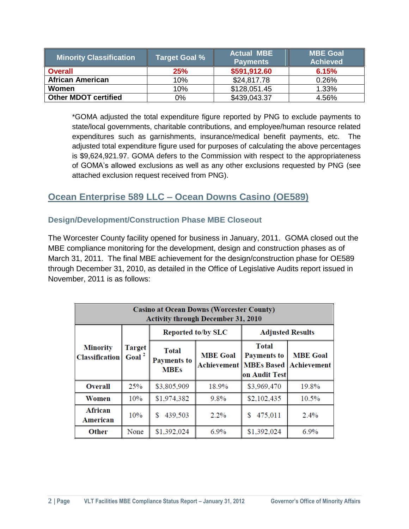| <b>Minority Classification</b> | Target Goal % | <b>Actual MBE</b><br><b>Payments</b> | <b>MBE Goal</b><br><b>Achieved</b> |
|--------------------------------|---------------|--------------------------------------|------------------------------------|
| <b>Overall</b>                 | 25%           | \$591,912.60                         | 6.15%                              |
| <b>African American</b>        | 10%           | \$24,817.78                          | 0.26%                              |
| Women                          | 10%           | \$128,051.45                         | 1.33%                              |
| <b>Other MDOT certified</b>    | 0%            | \$439,043.37                         | 4.56%                              |

\*GOMA adjusted the total expenditure figure reported by PNG to exclude payments to state/local governments, charitable contributions, and employee/human resource related expenditures such as garnishments, insurance/medical benefit payments, etc. The adjusted total expenditure figure used for purposes of calculating the above percentages is \$9,624,921.97. GOMA defers to the Commission with respect to the appropriateness of GOMA's allowed exclusions as well as any other exclusions requested by PNG (see attached exclusion request received from PNG).

# **Ocean Enterprise 589 LLC – Ocean Downs Casino (OE589)**

## **Design/Development/Construction Phase MBE Closeout**

The Worcester County facility opened for business in January, 2011. GOMA closed out the MBE compliance monitoring for the development, design and construction phases as of March 31, 2011. The final MBE achievement for the design/construction phase for OE589 through December 31, 2010, as detailed in the Office of Legislative Audits report issued in November, 2011 is as follows:

| <b>Casino at Ocean Downs (Worcester County)</b><br><b>Activity through December 31, 2010</b> |                                    |                                                   |                                |                                                                    |                                |
|----------------------------------------------------------------------------------------------|------------------------------------|---------------------------------------------------|--------------------------------|--------------------------------------------------------------------|--------------------------------|
|                                                                                              | <b>Target</b><br>Goal <sup>2</sup> | <b>Reported to/by SLC</b>                         |                                | <b>Adjusted Results</b>                                            |                                |
| <b>Minority</b><br><b>Classification</b>                                                     |                                    | <b>Total</b><br><b>Payments to</b><br><b>MBEs</b> | <b>MBE</b> Goal<br>Achievement | Total<br><b>Payments to</b><br><b>MBEs Based</b><br>∣on Audit Test | <b>MBE</b> Goal<br>Achievement |
| <b>Overall</b>                                                                               | 25%                                | \$3,805,909                                       | 18.9%                          | \$3,969,470                                                        | 19.8%                          |
| Women                                                                                        | 10%                                | \$1,974,382                                       | $9.8\%$                        | \$2,102,435                                                        | 10.5%                          |
| African<br>American                                                                          | 10%                                | 439,503<br>S                                      | $2.2\%$                        | 475,011<br>S                                                       | 2.4%                           |
| <b>Other</b>                                                                                 | None                               | \$1,392,024                                       | $6.9\%$                        | \$1,392,024                                                        | $6.9\%$                        |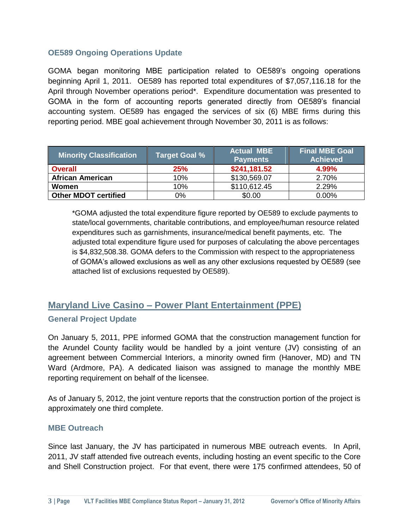## **OE589 Ongoing Operations Update**

GOMA began monitoring MBE participation related to OE589's ongoing operations beginning April 1, 2011. OE589 has reported total expenditures of \$7,057,116.18 for the April through November operations period\*. Expenditure documentation was presented to GOMA in the form of accounting reports generated directly from OE589's financial accounting system. OE589 has engaged the services of six (6) MBE firms during this reporting period. MBE goal achievement through November 30, 2011 is as follows:

| <b>Minority Classification</b> | <b>Target Goal %</b> | <b>Actual MBE</b><br><b>Payments</b> | <b>Final MBE Goal</b><br><b>Achieved</b> |
|--------------------------------|----------------------|--------------------------------------|------------------------------------------|
| <b>Overall</b>                 | 25%                  | \$241,181.52                         | 4.99%                                    |
| <b>African American</b>        | 10%                  | \$130,569.07                         | 2.70%                                    |
| Women                          | 10%                  | \$110,612.45                         | 2.29%                                    |
| <b>Other MDOT certified</b>    | 0%                   | \$0.00                               | 0.00%                                    |

\*GOMA adjusted the total expenditure figure reported by OE589 to exclude payments to state/local governments, charitable contributions, and employee/human resource related expenditures such as garnishments, insurance/medical benefit payments, etc. The adjusted total expenditure figure used for purposes of calculating the above percentages is \$4,832,508.38. GOMA defers to the Commission with respect to the appropriateness of GOMA's allowed exclusions as well as any other exclusions requested by OE589 (see attached list of exclusions requested by OE589).

# **Maryland Live Casino – Power Plant Entertainment (PPE)**

### **General Project Update**

On January 5, 2011, PPE informed GOMA that the construction management function for the Arundel County facility would be handled by a joint venture (JV) consisting of an agreement between Commercial Interiors, a minority owned firm (Hanover, MD) and TN Ward (Ardmore, PA). A dedicated liaison was assigned to manage the monthly MBE reporting requirement on behalf of the licensee.

As of January 5, 2012, the joint venture reports that the construction portion of the project is approximately one third complete.

### **MBE Outreach**

Since last January, the JV has participated in numerous MBE outreach events. In April, 2011, JV staff attended five outreach events, including hosting an event specific to the Core and Shell Construction project. For that event, there were 175 confirmed attendees, 50 of